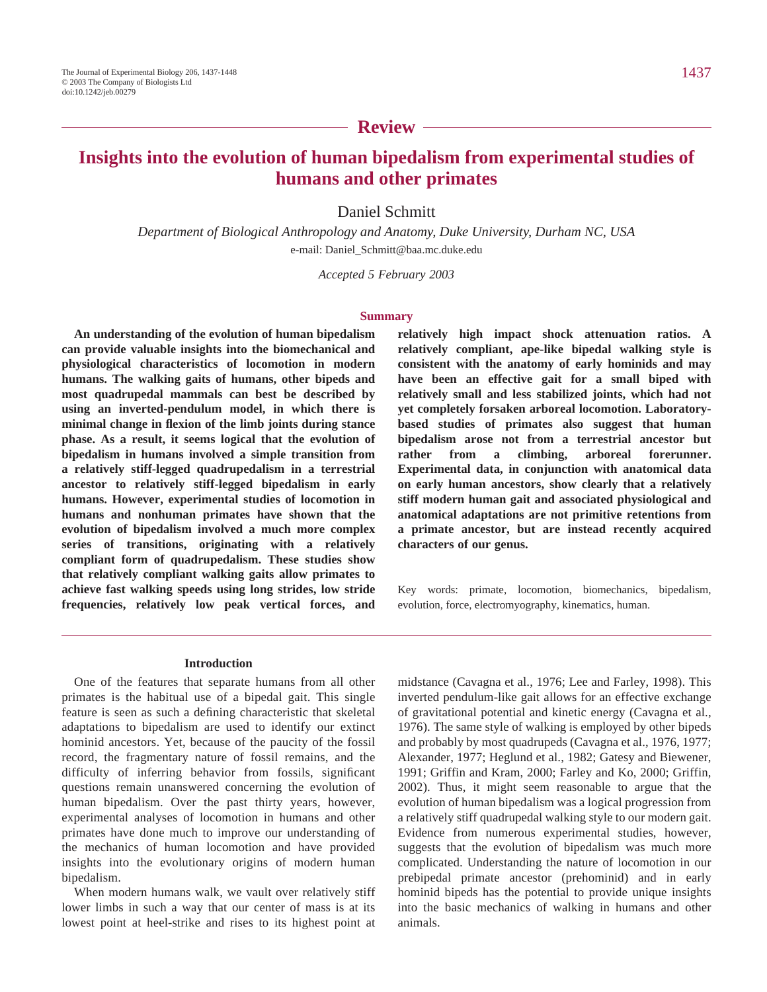### **Review**

## **Insights into the evolution of human bipedalism from experimental studies of humans and other primates**

Daniel Schmitt

*Department of Biological Anthropology and Anatomy, Duke University, Durham NC, USA* e-mail: Daniel\_Schmitt@baa.mc.duke.edu

*Accepted 5 February 2003* 

#### **Summary**

**An understanding of the evolution of human bipedalism can provide valuable insights into the biomechanical and physiological characteristics of locomotion in modern humans. The walking gaits of humans, other bipeds and most quadrupedal mammals can best be described by using an inverted-pendulum model, in which there is minimal change in flexion of the limb joints during stance phase. As a result, it seems logical that the evolution of bipedalism in humans involved a simple transition from a relatively stiff-legged quadrupedalism in a terrestrial ancestor to relatively stiff-legged bipedalism in early humans. However, experimental studies of locomotion in humans and nonhuman primates have shown that the evolution of bipedalism involved a much more complex series of transitions, originating with a relatively compliant form of quadrupedalism. These studies show that relatively compliant walking gaits allow primates to achieve fast walking speeds using long strides, low stride frequencies, relatively low peak vertical forces, and**

**relatively high impact shock attenuation ratios. A relatively compliant, ape-like bipedal walking style is consistent with the anatomy of early hominids and may have been an effective gait for a small biped with relatively small and less stabilized joints, which had not yet completely forsaken arboreal locomotion. Laboratorybased studies of primates also suggest that human bipedalism arose not from a terrestrial ancestor but rather from a climbing, arboreal forerunner. Experimental data, in conjunction with anatomical data on early human ancestors, show clearly that a relatively stiff modern human gait and associated physiological and anatomical adaptations are not primitive retentions from a primate ancestor, but are instead recently acquired characters of our genus.** 

Key words: primate, locomotion, biomechanics, bipedalism, evolution, force, electromyography, kinematics, human.

#### **Introduction**

One of the features that separate humans from all other primates is the habitual use of a bipedal gait. This single feature is seen as such a defining characteristic that skeletal adaptations to bipedalism are used to identify our extinct hominid ancestors. Yet, because of the paucity of the fossil record, the fragmentary nature of fossil remains, and the difficulty of inferring behavior from fossils, significant questions remain unanswered concerning the evolution of human bipedalism. Over the past thirty years, however, experimental analyses of locomotion in humans and other primates have done much to improve our understanding of the mechanics of human locomotion and have provided insights into the evolutionary origins of modern human bipedalism.

When modern humans walk, we vault over relatively stiff lower limbs in such a way that our center of mass is at its lowest point at heel-strike and rises to its highest point at

midstance (Cavagna et al., 1976; Lee and Farley, 1998). This inverted pendulum-like gait allows for an effective exchange of gravitational potential and kinetic energy (Cavagna et al., 1976). The same style of walking is employed by other bipeds and probably by most quadrupeds (Cavagna et al., 1976, 1977; Alexander, 1977; Heglund et al., 1982; Gatesy and Biewener, 1991; Griffin and Kram, 2000; Farley and Ko, 2000; Griffin, 2002). Thus, it might seem reasonable to argue that the evolution of human bipedalism was a logical progression from a relatively stiff quadrupedal walking style to our modern gait. Evidence from numerous experimental studies, however, suggests that the evolution of bipedalism was much more complicated. Understanding the nature of locomotion in our prebipedal primate ancestor (prehominid) and in early hominid bipeds has the potential to provide unique insights into the basic mechanics of walking in humans and other animals.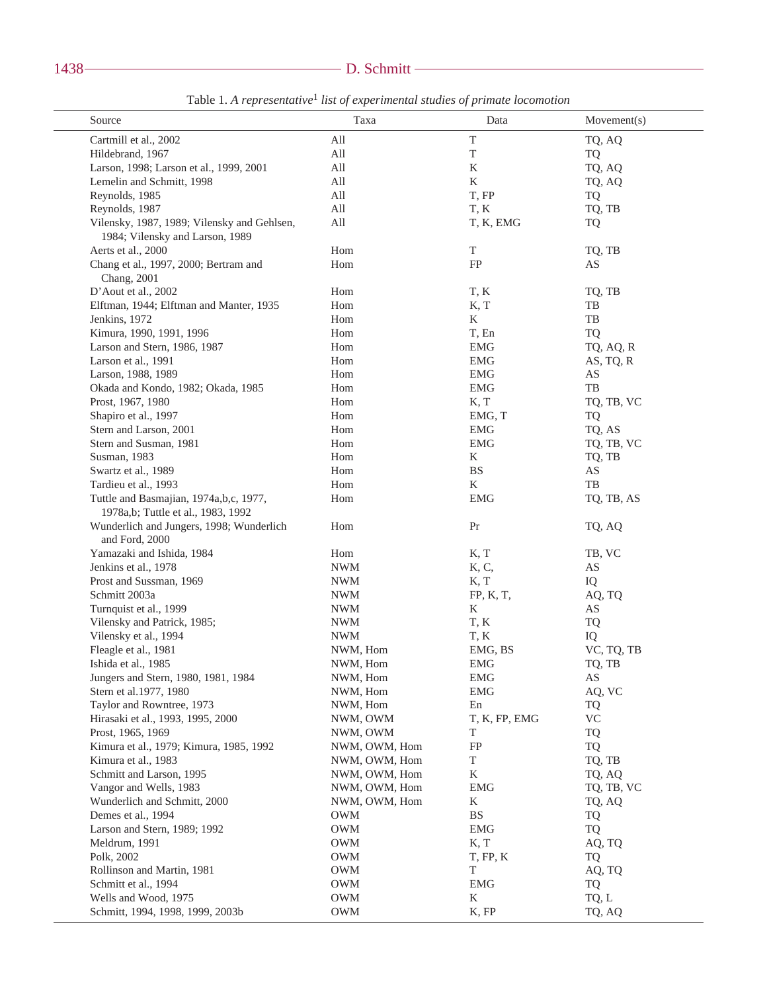# 1438 D. Schmitt

| Source                                                                       | Taxa                        | Data                   | Movement(s)            |
|------------------------------------------------------------------------------|-----------------------------|------------------------|------------------------|
| Cartmill et al., 2002                                                        | $\mathop{\rm All}\nolimits$ | $\mathbf T$            | TQ, AQ                 |
| Hildebrand, 1967                                                             | All                         | $\mathbf T$            | TQ                     |
| Larson, 1998; Larson et al., 1999, 2001                                      | All                         | K                      | TQ, AQ                 |
| Lemelin and Schmitt, 1998                                                    | All                         | $\rm K$                | TQ, AQ                 |
| Reynolds, 1985                                                               | All                         | T, FP                  | TQ                     |
| Reynolds, 1987                                                               | All                         | T, K                   | TQ, TB                 |
| Vilensky, 1987, 1989; Vilensky and Gehlsen,                                  | All                         | T, K, EMG              | <b>TQ</b>              |
| 1984; Vilensky and Larson, 1989                                              |                             |                        |                        |
| Aerts et al., 2000                                                           | Hom                         | $\mathbf T$            | TQ, TB                 |
| Chang et al., 1997, 2000; Bertram and                                        | Hom                         | FP                     | AS                     |
| Chang, 2001                                                                  |                             |                        |                        |
| D'Aout et al., 2002                                                          | Hom                         | T, K                   | TQ, TB                 |
| Elftman, 1944; Elftman and Manter, 1935                                      | Hom                         | K, T                   | TB                     |
| Jenkins, 1972                                                                | Hom                         | K                      | TB                     |
| Kimura, 1990, 1991, 1996                                                     | Hom                         | T, En                  | <b>TQ</b>              |
|                                                                              |                             |                        |                        |
| Larson and Stern, 1986, 1987                                                 | Hom                         | <b>EMG</b>             | TQ, AQ, R              |
| Larson et al., 1991                                                          | Hom                         | <b>EMG</b>             | AS, TQ, R              |
| Larson, 1988, 1989                                                           | Hom                         | <b>EMG</b>             | $\mathbf{A}\mathbf{S}$ |
| Okada and Kondo, 1982; Okada, 1985                                           | Hom                         | <b>EMG</b>             | TB                     |
| Prost, 1967, 1980                                                            | Hom                         | K, T                   | TQ, TB, VC             |
| Shapiro et al., 1997                                                         | Hom                         | EMG, T                 | <b>TQ</b>              |
| Stern and Larson, 2001                                                       | Hom                         | <b>EMG</b>             | TQ, AS                 |
| Stern and Susman, 1981                                                       | Hom                         | <b>EMG</b>             | TQ, TB, VC             |
| Susman, 1983                                                                 | Hom                         | K                      | TQ, TB                 |
| Swartz et al., 1989                                                          | Hom                         | <b>BS</b>              | $\mathbf{A}\mathbf{S}$ |
| Tardieu et al., 1993                                                         | Hom                         | K                      | TB                     |
| Tuttle and Basmajian, 1974a,b,c, 1977,<br>1978a,b; Tuttle et al., 1983, 1992 | Hom                         | <b>EMG</b>             | TQ, TB, AS             |
| Wunderlich and Jungers, 1998; Wunderlich<br>and Ford, 2000                   | Hom                         | Pr                     | TQ, AQ                 |
| Yamazaki and Ishida, 1984                                                    | Hom                         | K, T                   | TB, VC                 |
| Jenkins et al., 1978                                                         | <b>NWM</b>                  | K, C,                  | AS                     |
| Prost and Sussman, 1969                                                      | <b>NWM</b>                  | K, T                   | IQ                     |
| Schmitt 2003a                                                                | <b>NWM</b>                  | FP, K, T,              | AQ, TQ                 |
| Turnquist et al., 1999                                                       | <b>NWM</b>                  | K                      | AS                     |
| Vilensky and Patrick, 1985;                                                  | <b>NWM</b>                  | T, K                   | TQ                     |
| Vilensky et al., 1994                                                        | <b>NWM</b>                  | T, K                   | IQ                     |
| Fleagle et al., 1981                                                         | NWM, Hom                    | EMG, BS                | VC, TQ, TB             |
| Ishida et al., 1985                                                          | NWM, Hom                    | EMG                    | TQ, TB                 |
| Jungers and Stern, 1980, 1981, 1984                                          | NWM, Hom                    | <b>EMG</b>             | AS                     |
| Stern et al.1977, 1980                                                       | NWM, Hom                    | <b>EMG</b>             | AQ, VC                 |
| Taylor and Rowntree, 1973                                                    | NWM, Hom                    | En                     | TQ                     |
| Hirasaki et al., 1993, 1995, 2000                                            | NWM, OWM                    | T, K, FP, EMG          | <b>VC</b>              |
| Prost, 1965, 1969                                                            | NWM, OWM                    | T                      | TQ                     |
| Kimura et al., 1979; Kimura, 1985, 1992                                      | NWM, OWM, Hom               | FP                     | <b>TQ</b>              |
| Kimura et al., 1983                                                          | NWM, OWM, Hom               | $\mathbf T$            | TQ, TB                 |
|                                                                              |                             |                        |                        |
| Schmitt and Larson, 1995                                                     | NWM, OWM, Hom               | K                      | TQ, AQ                 |
| Vangor and Wells, 1983                                                       | NWM, OWM, Hom               | <b>EMG</b>             | TQ, TB, VC             |
| Wunderlich and Schmitt, 2000                                                 | NWM, OWM, Hom               | K                      | TQ, AQ                 |
| Demes et al., 1994                                                           | <b>OWM</b>                  | $\mathbf{B}\mathbf{S}$ | <b>TQ</b>              |
| Larson and Stern, 1989; 1992                                                 | <b>OWM</b>                  | <b>EMG</b>             | <b>TQ</b>              |
| Meldrum, 1991                                                                | <b>OWM</b>                  | K, T                   | AQ, TQ                 |
| Polk, 2002                                                                   | <b>OWM</b>                  | T, FP, K               | TQ                     |
| Rollinson and Martin, 1981                                                   | <b>OWM</b>                  | T                      | AQ, TQ                 |
| Schmitt et al., 1994                                                         | <b>OWM</b>                  | $\operatorname{EMG}$   | TQ                     |
| Wells and Wood, 1975                                                         | <b>OWM</b>                  | K                      | TQ, L                  |
| Schmitt, 1994, 1998, 1999, 2003b                                             | <b>OWM</b>                  | K, FP                  | TQ, AQ                 |

Table·1. *A representative*<sup>1</sup> *list of experimental studies of primate locomotion*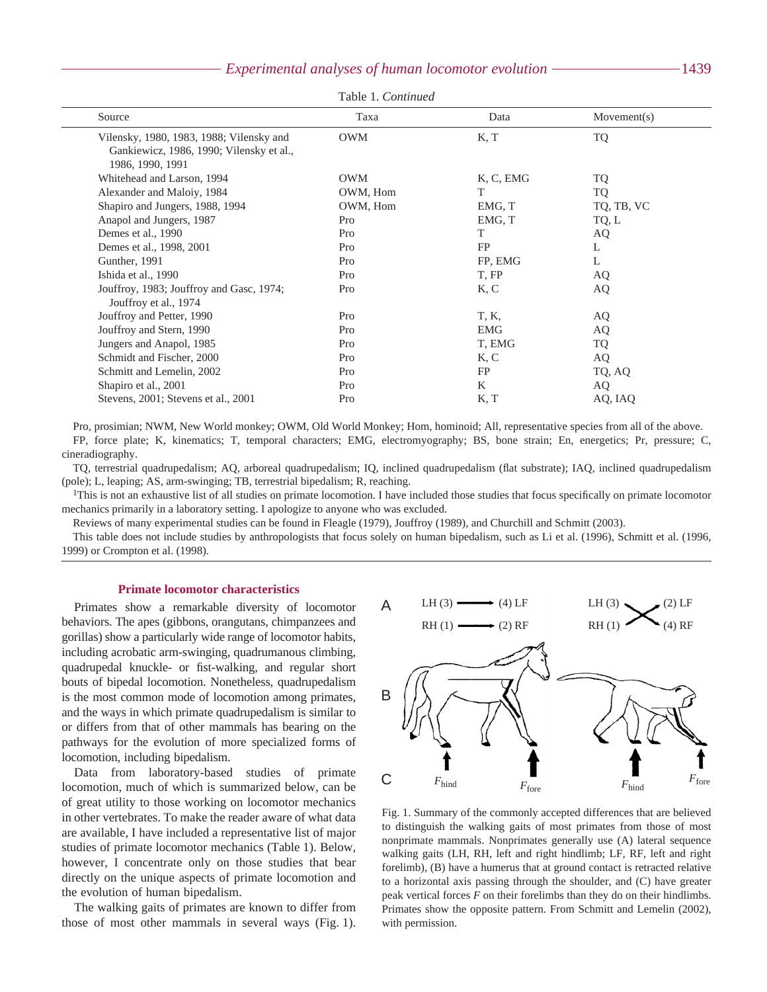#### *Experimental analyses of human locomotor evolution* 1439

| Table 1. Continued |  |
|--------------------|--|
|--------------------|--|

| Source                                                                                                   | Taxa       | Data       | Movement(s) |  |
|----------------------------------------------------------------------------------------------------------|------------|------------|-------------|--|
| Vilensky, 1980, 1983, 1988; Vilensky and<br>Gankiewicz, 1986, 1990; Vilensky et al.,<br>1986, 1990, 1991 | <b>OWM</b> | K, T       | <b>TQ</b>   |  |
| Whitehead and Larson, 1994                                                                               | <b>OWM</b> | K, C, EMG  | <b>TQ</b>   |  |
| Alexander and Maloiy, 1984                                                                               | OWM, Hom   | T          | <b>TQ</b>   |  |
| Shapiro and Jungers, 1988, 1994                                                                          | OWM, Hom   | EMG, T     | TQ, TB, VC  |  |
| Anapol and Jungers, 1987                                                                                 | Pro        | EMG, T     | TQ, L       |  |
| Demes et al., 1990                                                                                       | Pro        | T          | AQ          |  |
| Demes et al., 1998, 2001                                                                                 | Pro        | FP         | L           |  |
| Gunther, 1991                                                                                            | Pro        | FP, EMG    | L           |  |
| Ishida et al., 1990                                                                                      | Pro        | T, FP      | AQ          |  |
| Jouffroy, 1983; Jouffroy and Gasc, 1974;<br>Jouffroy et al., 1974                                        | Pro        | K, C       | AQ          |  |
| Jouffroy and Petter, 1990                                                                                | Pro        | T, K,      | AQ.         |  |
| Jouffroy and Stern, 1990                                                                                 | Pro        | <b>EMG</b> | AQ          |  |
| Jungers and Anapol, 1985                                                                                 | Pro        | T, EMG     | <b>TQ</b>   |  |
| Schmidt and Fischer, 2000                                                                                | Pro        | K, C       | AQ          |  |
| Schmitt and Lemelin, 2002                                                                                | Pro        | FP         | TQ, AQ      |  |
| Shapiro et al., 2001                                                                                     | Pro        | K          | AQ          |  |
| Stevens, 2001; Stevens et al., 2001                                                                      | Pro        | K, T       | AQ, IAQ     |  |
|                                                                                                          |            |            |             |  |

Pro, prosimian; NWM, New World monkey; OWM, Old World Monkey; Hom, hominoid; All, representative species from all of the above. FP, force plate; K, kinematics; T, temporal characters; EMG, electromyography; BS, bone strain; En, energetics; Pr, pressure; C, cineradiography.

TQ, terrestrial quadrupedalism; AQ, arboreal quadrupedalism; IQ, inclined quadrupedalism (flat substrate); IAQ, inclined quadrupedalism (pole); L, leaping; AS, arm-swinging; TB, terrestrial bipedalism; R, reaching.

<sup>1</sup>This is not an exhaustive list of all studies on primate locomotion. I have included those studies that focus specifically on primate locomotor mechanics primarily in a laboratory setting. I apologize to anyone who was excluded.

Reviews of many experimental studies can be found in Fleagle (1979), Jouffroy (1989), and Churchill and Schmitt (2003).

This table does not include studies by anthropologists that focus solely on human bipedalism, such as Li et al. (1996), Schmitt et al. (1996, 1999) or Crompton et al. (1998).

#### **Primate locomotor characteristics**

Primates show a remarkable diversity of locomotor behaviors. The apes (gibbons, orangutans, chimpanzees and gorillas) show a particularly wide range of locomotor habits, including acrobatic arm-swinging, quadrumanous climbing, quadrupedal knuckle- or fist-walking, and regular short bouts of bipedal locomotion. Nonetheless, quadrupedalism is the most common mode of locomotion among primates, and the ways in which primate quadrupedalism is similar to or differs from that of other mammals has bearing on the pathways for the evolution of more specialized forms of locomotion, including bipedalism.

Data from laboratory-based studies of primate locomotion, much of which is summarized below, can be of great utility to those working on locomotor mechanics in other vertebrates. To make the reader aware of what data are available, I have included a representative list of major studies of primate locomotor mechanics (Table 1). Below, however, I concentrate only on those studies that bear directly on the unique aspects of primate locomotion and the evolution of human bipedalism.

The walking gaits of primates are known to differ from those of most other mammals in several ways (Fig. 1).



Fig. 1. Summary of the commonly accepted differences that are believed to distinguish the walking gaits of most primates from those of most nonprimate mammals. Nonprimates generally use (A) lateral sequence walking gaits (LH, RH, left and right hindlimb; LF, RF, left and right forelimb), (B) have a humerus that at ground contact is retracted relative to a horizontal axis passing through the shoulder, and (C) have greater peak vertical forces *F* on their forelimbs than they do on their hindlimbs. Primates show the opposite pattern. From Schmitt and Lemelin (2002), with permission.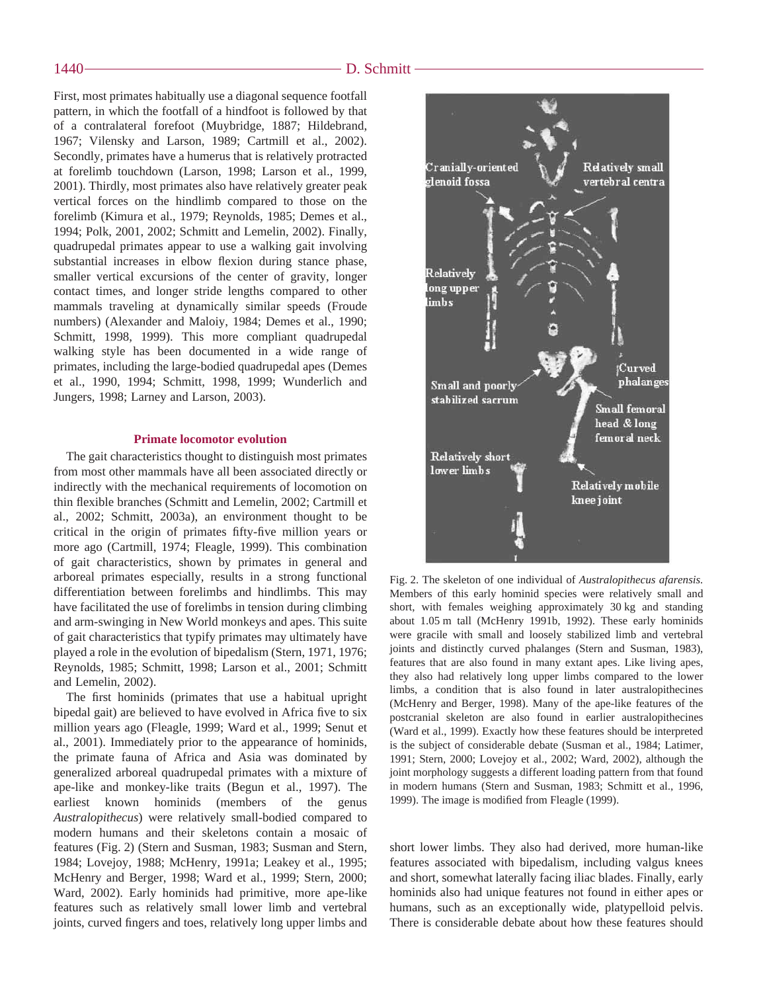First, most primates habitually use a diagonal sequence footfall pattern, in which the footfall of a hindfoot is followed by that of a contralateral forefoot (Muybridge, 1887; Hildebrand, 1967; Vilensky and Larson, 1989; Cartmill et al., 2002). Secondly, primates have a humerus that is relatively protracted at forelimb touchdown (Larson, 1998; Larson et al., 1999, 2001). Thirdly, most primates also have relatively greater peak vertical forces on the hindlimb compared to those on the forelimb (Kimura et al., 1979; Reynolds, 1985; Demes et al., 1994; Polk, 2001, 2002; Schmitt and Lemelin, 2002). Finally, quadrupedal primates appear to use a walking gait involving substantial increases in elbow flexion during stance phase, smaller vertical excursions of the center of gravity, longer contact times, and longer stride lengths compared to other mammals traveling at dynamically similar speeds (Froude numbers) (Alexander and Maloiy, 1984; Demes et al., 1990; Schmitt, 1998, 1999). This more compliant quadrupedal walking style has been documented in a wide range of primates, including the large-bodied quadrupedal apes (Demes et al., 1990, 1994; Schmitt, 1998, 1999; Wunderlich and Jungers, 1998; Larney and Larson, 2003).

#### **Primate locomotor evolution**

The gait characteristics thought to distinguish most primates from most other mammals have all been associated directly or indirectly with the mechanical requirements of locomotion on thin flexible branches (Schmitt and Lemelin, 2002; Cartmill et al., 2002; Schmitt, 2003a), an environment thought to be critical in the origin of primates fifty-five million years or more ago (Cartmill, 1974; Fleagle, 1999). This combination of gait characteristics, shown by primates in general and arboreal primates especially, results in a strong functional differentiation between forelimbs and hindlimbs. This may have facilitated the use of forelimbs in tension during climbing and arm-swinging in New World monkeys and apes. This suite of gait characteristics that typify primates may ultimately have played a role in the evolution of bipedalism (Stern, 1971, 1976; Reynolds, 1985; Schmitt, 1998; Larson et al., 2001; Schmitt and Lemelin, 2002).

The first hominids (primates that use a habitual upright bipedal gait) are believed to have evolved in Africa five to six million years ago (Fleagle, 1999; Ward et al., 1999; Senut et al., 2001). Immediately prior to the appearance of hominids, the primate fauna of Africa and Asia was dominated by generalized arboreal quadrupedal primates with a mixture of ape-like and monkey-like traits (Begun et al., 1997). The earliest known hominids (members of the genus *Australopithecus*) were relatively small-bodied compared to modern humans and their skeletons contain a mosaic of features (Fig. 2) (Stern and Susman, 1983; Susman and Stern, 1984; Lovejoy, 1988; McHenry, 1991a; Leakey et al., 1995; McHenry and Berger, 1998; Ward et al., 1999; Stern, 2000; Ward, 2002). Early hominids had primitive, more ape-like features such as relatively small lower limb and vertebral joints, curved fingers and toes, relatively long upper limbs and



Fig. 2. The skeleton of one individual of *Australopithecus afarensis*. Members of this early hominid species were relatively small and short, with females weighing approximately 30 kg and standing about 1.05 m tall (McHenry 1991b, 1992). These early hominids were gracile with small and loosely stabilized limb and vertebral joints and distinctly curved phalanges (Stern and Susman, 1983), features that are also found in many extant apes. Like living apes, they also had relatively long upper limbs compared to the lower limbs, a condition that is also found in later australopithecines (McHenry and Berger, 1998). Many of the ape-like features of the postcranial skeleton are also found in earlier australopithecines (Ward et al., 1999). Exactly how these features should be interpreted is the subject of considerable debate (Susman et al., 1984; Latimer, 1991; Stern, 2000; Lovejoy et al., 2002; Ward, 2002), although the joint morphology suggests a different loading pattern from that found in modern humans (Stern and Susman, 1983; Schmitt et al., 1996, 1999). The image is modified from Fleagle (1999).

short lower limbs. They also had derived, more human-like features associated with bipedalism, including valgus knees and short, somewhat laterally facing iliac blades. Finally, early hominids also had unique features not found in either apes or humans, such as an exceptionally wide, platypelloid pelvis. There is considerable debate about how these features should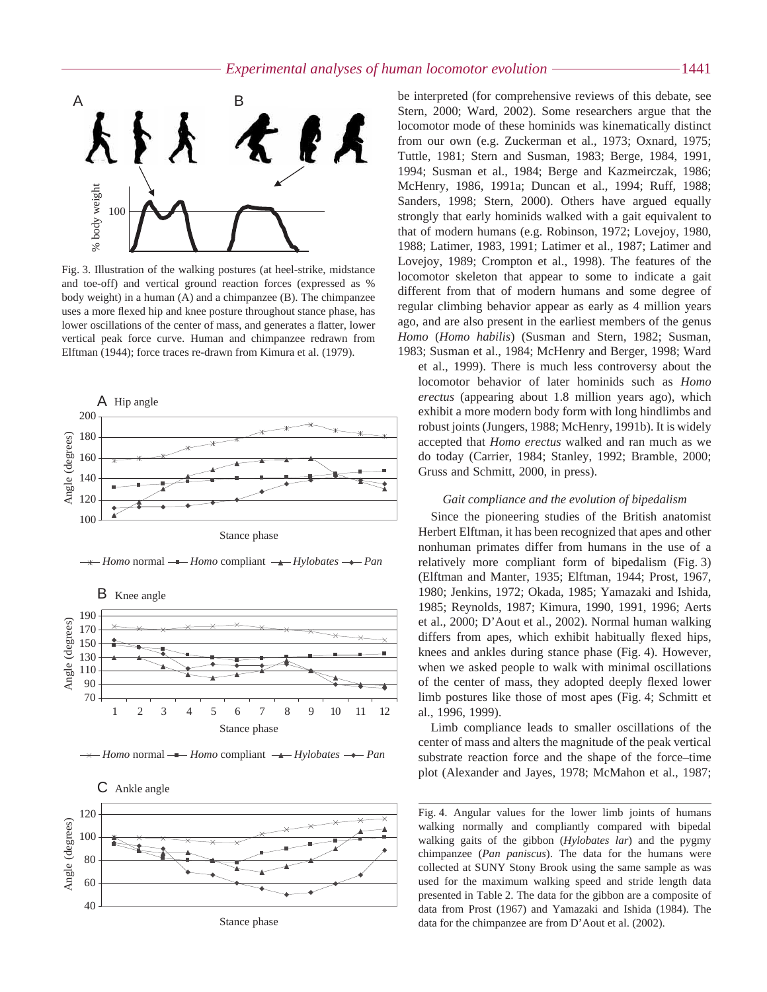

Fig. 3. Illustration of the walking postures (at heel-strike, midstance and toe-off) and vertical ground reaction forces (expressed as % body weight) in a human (A) and a chimpanzee (B). The chimpanzee uses a more flexed hip and knee posture throughout stance phase, has lower oscillations of the center of mass, and generates a flatter, lower vertical peak force curve. Human and chimpanzee redrawn from Elftman (1944); force traces re-drawn from Kimura et al. (1979).



*→ Homo* normal *→ Homo* compliant *→ Hylobates* → *Pan* 









Stance phase

be interpreted (for comprehensive reviews of this debate, see Stern, 2000; Ward, 2002). Some researchers argue that the locomotor mode of these hominids was kinematically distinct from our own (e.g. Zuckerman et al., 1973; Oxnard, 1975; Tuttle, 1981; Stern and Susman, 1983; Berge, 1984, 1991, 1994; Susman et al., 1984; Berge and Kazmeirczak, 1986; McHenry, 1986, 1991a; Duncan et al., 1994; Ruff, 1988; Sanders, 1998; Stern, 2000). Others have argued equally strongly that early hominids walked with a gait equivalent to that of modern humans (e.g. Robinson, 1972; Lovejoy, 1980, 1988; Latimer, 1983, 1991; Latimer et al., 1987; Latimer and Lovejoy, 1989; Crompton et al., 1998). The features of the locomotor skeleton that appear to some to indicate a gait different from that of modern humans and some degree of regular climbing behavior appear as early as 4 million years ago, and are also present in the earliest members of the genus *Homo* (*Homo habilis*) (Susman and Stern, 1982; Susman, 1983; Susman et al., 1984; McHenry and Berger, 1998; Ward

et al., 1999). There is much less controversy about the locomotor behavior of later hominids such as *Homo erectus* (appearing about 1.8 million years ago), which exhibit a more modern body form with long hindlimbs and robust joints (Jungers, 1988; McHenry, 1991b). It is widely accepted that *Homo erectus* walked and ran much as we do today (Carrier, 1984; Stanley, 1992; Bramble, 2000; Gruss and Schmitt, 2000, in press).

#### *Gait compliance and the evolution of bipedalism*

Since the pioneering studies of the British anatomist Herbert Elftman, it has been recognized that apes and other nonhuman primates differ from humans in the use of a relatively more compliant form of bipedalism (Fig. 3) (Elftman and Manter, 1935; Elftman, 1944; Prost, 1967, 1980; Jenkins, 1972; Okada, 1985; Yamazaki and Ishida, 1985; Reynolds, 1987; Kimura, 1990, 1991, 1996; Aerts et al., 2000; D'Aout et al., 2002). Normal human walking differs from apes, which exhibit habitually flexed hips, knees and ankles during stance phase (Fig. 4). However, when we asked people to walk with minimal oscillations of the center of mass, they adopted deeply flexed lower limb postures like those of most apes (Fig. 4; Schmitt et al., 1996, 1999).

Limb compliance leads to smaller oscillations of the center of mass and alters the magnitude of the peak vertical substrate reaction force and the shape of the force–time plot (Alexander and Jayes, 1978; McMahon et al., 1987;

Fig. 4. Angular values for the lower limb joints of humans walking normally and compliantly compared with bipedal walking gaits of the gibbon (*Hylobates lar*) and the pygmy chimpanzee (*Pan paniscus*). The data for the humans were collected at SUNY Stony Brook using the same sample as was used for the maximum walking speed and stride length data presented in Table 2. The data for the gibbon are a composite of data from Prost (1967) and Yamazaki and Ishida (1984). The data for the chimpanzee are from D'Aout et al. (2002).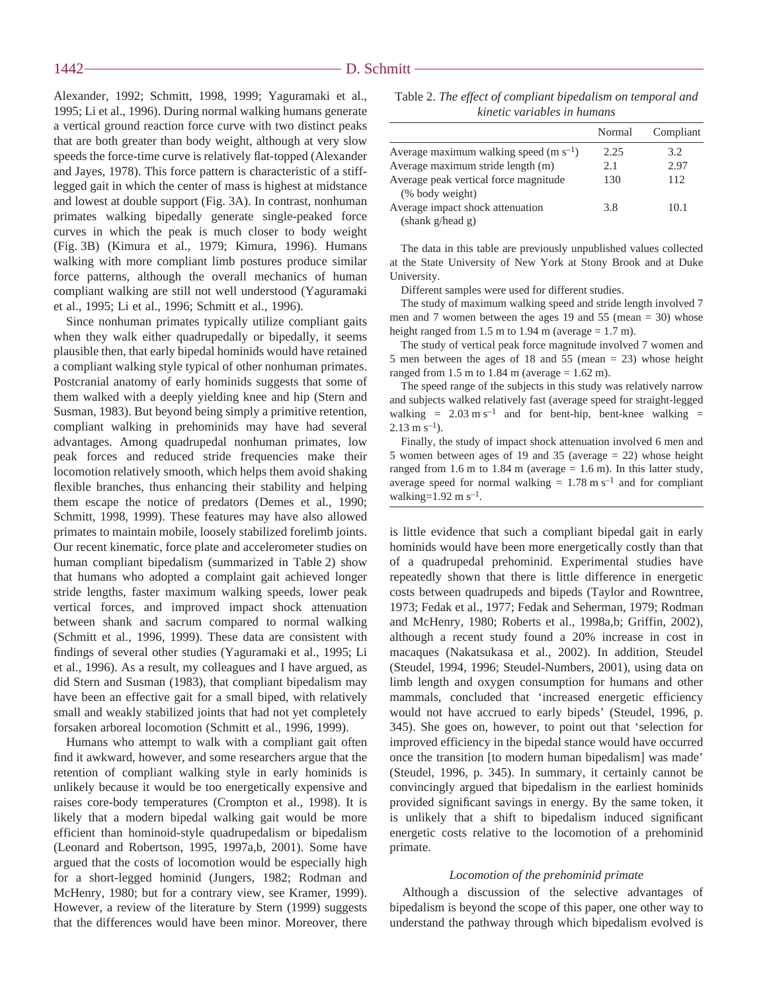Alexander, 1992; Schmitt, 1998, 1999; Yaguramaki et al., 1995; Li et al., 1996). During normal walking humans generate a vertical ground reaction force curve with two distinct peaks that are both greater than body weight, although at very slow speeds the force-time curve is relatively flat-topped (Alexander and Jayes, 1978). This force pattern is characteristic of a stifflegged gait in which the center of mass is highest at midstance and lowest at double support (Fig. 3A). In contrast, nonhuman primates walking bipedally generate single-peaked force curves in which the peak is much closer to body weight (Fig. 3B) (Kimura et al., 1979; Kimura, 1996). Humans walking with more compliant limb postures produce similar force patterns, although the overall mechanics of human compliant walking are still not well understood (Yaguramaki et al., 1995; Li et al., 1996; Schmitt et al., 1996).

Since nonhuman primates typically utilize compliant gaits when they walk either quadrupedally or bipedally, it seems plausible then, that early bipedal hominids would have retained a compliant walking style typical of other nonhuman primates. Postcranial anatomy of early hominids suggests that some of them walked with a deeply yielding knee and hip (Stern and Susman, 1983). But beyond being simply a primitive retention, compliant walking in prehominids may have had several advantages. Among quadrupedal nonhuman primates, low peak forces and reduced stride frequencies make their locomotion relatively smooth, which helps them avoid shaking flexible branches, thus enhancing their stability and helping them escape the notice of predators (Demes et al., 1990; Schmitt, 1998, 1999). These features may have also allowed primates to maintain mobile, loosely stabilized forelimb joints. Our recent kinematic, force plate and accelerometer studies on human compliant bipedalism (summarized in Table 2) show that humans who adopted a complaint gait achieved longer stride lengths, faster maximum walking speeds, lower peak vertical forces, and improved impact shock attenuation between shank and sacrum compared to normal walking (Schmitt et al., 1996, 1999). These data are consistent with findings of several other studies (Yaguramaki et al., 1995; Li et al., 1996). As a result, my colleagues and I have argued, as did Stern and Susman (1983), that compliant bipedalism may have been an effective gait for a small biped, with relatively small and weakly stabilized joints that had not yet completely forsaken arboreal locomotion (Schmitt et al., 1996, 1999).

Humans who attempt to walk with a compliant gait often find it awkward, however, and some researchers argue that the retention of compliant walking style in early hominids is unlikely because it would be too energetically expensive and raises core-body temperatures (Crompton et al., 1998). It is likely that a modern bipedal walking gait would be more efficient than hominoid-style quadrupedalism or bipedalism (Leonard and Robertson, 1995, 1997a,b, 2001). Some have argued that the costs of locomotion would be especially high for a short-legged hominid (Jungers, 1982; Rodman and McHenry, 1980; but for a contrary view, see Kramer, 1999). However, a review of the literature by Stern (1999) suggests that the differences would have been minor. Moreover, there

Table 2. *The effect of compliant bipedalism on temporal and kinetic variables in humans*

|                                            | Normal | Compliant |
|--------------------------------------------|--------|-----------|
| Average maximum walking speed $(m s^{-1})$ | 2.25   | 3.2       |
| Average maximum stride length (m)          | 2.1    | 2.97      |
| Average peak vertical force magnitude      | 130    | 112       |
| (% body weight)                            |        |           |
| Average impact shock attenuation           | 3.8    | 10.1      |
| (shank g/head g)                           |        |           |

The data in this table are previously unpublished values collected at the State University of New York at Stony Brook and at Duke University.

Different samples were used for different studies.

The study of maximum walking speed and stride length involved 7 men and 7 women between the ages 19 and 55 (mean = 30) whose height ranged from  $1.5 \text{ m}$  to  $1.94 \text{ m}$  (average =  $1.7 \text{ m}$ ).

The study of vertical peak force magnitude involved 7 women and 5 men between the ages of 18 and 55 (mean = 23) whose height ranged from 1.5*·*m to 1.84*·*m (average = 1.62*·*m).

The speed range of the subjects in this study was relatively narrow and subjects walked relatively fast (average speed for straight-legged walking =  $2.03 \text{ m s}^{-1}$  and for bent-hip, bent-knee walking =  $2.13 \text{ m s}^{-1}$ ).

Finally, the study of impact shock attenuation involved 6 men and 5 women between ages of 19 and 35 (average = 22) whose height ranged from 1.6  $\text{m}$  to 1.84  $\text{m}$  (average = 1.6  $\text{m}$ ). In this latter study, average speed for normal walking =  $1.78 \text{ m s}^{-1}$  and for compliant walking=1.92*·*m*·*s–1.

is little evidence that such a compliant bipedal gait in early hominids would have been more energetically costly than that of a quadrupedal prehominid. Experimental studies have repeatedly shown that there is little difference in energetic costs between quadrupeds and bipeds (Taylor and Rowntree, 1973; Fedak et al., 1977; Fedak and Seherman, 1979; Rodman and McHenry, 1980; Roberts et al., 1998a,b; Griffin, 2002), although a recent study found a 20% increase in cost in macaques (Nakatsukasa et al., 2002). In addition, Steudel (Steudel, 1994, 1996; Steudel-Numbers, 2001), using data on limb length and oxygen consumption for humans and other mammals, concluded that 'increased energetic efficiency would not have accrued to early bipeds' (Steudel, 1996, p. 345). She goes on, however, to point out that 'selection for improved efficiency in the bipedal stance would have occurred once the transition [to modern human bipedalism] was made' (Steudel, 1996, p. 345). In summary, it certainly cannot be convincingly argued that bipedalism in the earliest hominids provided significant savings in energy. By the same token, it is unlikely that a shift to bipedalism induced significant energetic costs relative to the locomotion of a prehominid primate.

#### *Locomotion of the prehominid primate*

Although a discussion of the selective advantages of bipedalism is beyond the scope of this paper, one other way to understand the pathway through which bipedalism evolved is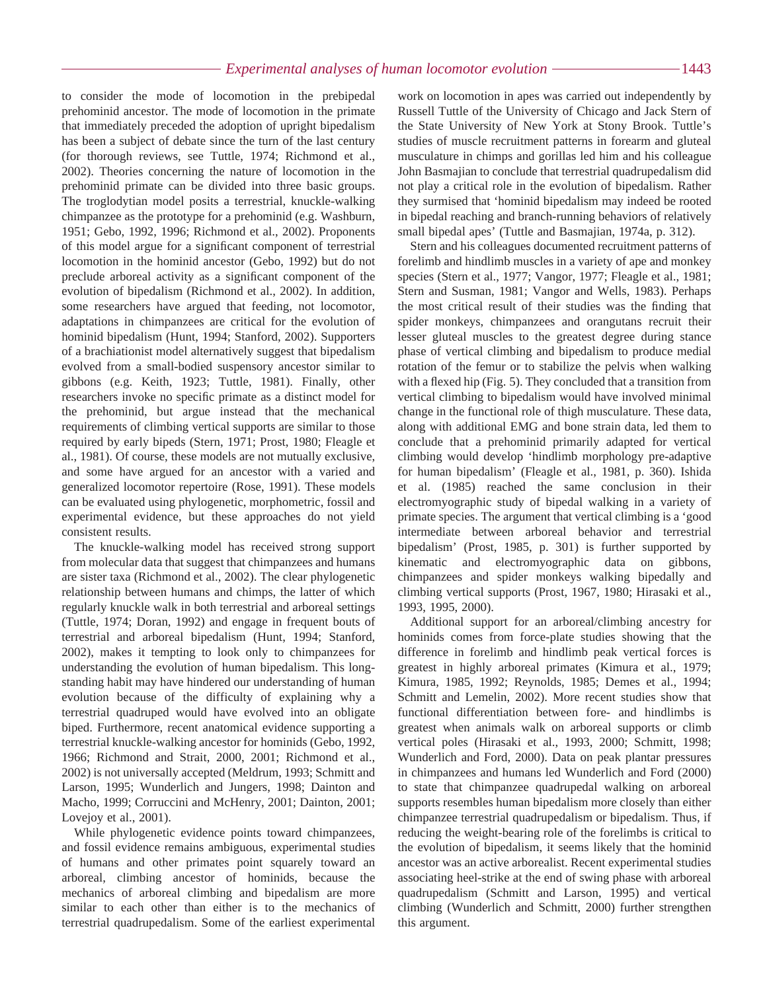to consider the mode of locomotion in the prebipedal prehominid ancestor. The mode of locomotion in the primate that immediately preceded the adoption of upright bipedalism has been a subject of debate since the turn of the last century (for thorough reviews, see Tuttle, 1974; Richmond et al., 2002). Theories concerning the nature of locomotion in the prehominid primate can be divided into three basic groups. The troglodytian model posits a terrestrial, knuckle-walking chimpanzee as the prototype for a prehominid (e.g. Washburn, 1951; Gebo, 1992, 1996; Richmond et al., 2002). Proponents of this model argue for a significant component of terrestrial locomotion in the hominid ancestor (Gebo, 1992) but do not preclude arboreal activity as a significant component of the evolution of bipedalism (Richmond et al., 2002). In addition, some researchers have argued that feeding, not locomotor, adaptations in chimpanzees are critical for the evolution of hominid bipedalism (Hunt, 1994; Stanford, 2002). Supporters of a brachiationist model alternatively suggest that bipedalism evolved from a small-bodied suspensory ancestor similar to gibbons (e.g. Keith, 1923; Tuttle, 1981). Finally, other researchers invoke no specific primate as a distinct model for the prehominid, but argue instead that the mechanical requirements of climbing vertical supports are similar to those required by early bipeds (Stern, 1971; Prost, 1980; Fleagle et al., 1981). Of course, these models are not mutually exclusive, and some have argued for an ancestor with a varied and generalized locomotor repertoire (Rose, 1991). These models can be evaluated using phylogenetic, morphometric, fossil and experimental evidence, but these approaches do not yield consistent results.

The knuckle-walking model has received strong support from molecular data that suggest that chimpanzees and humans are sister taxa (Richmond et al., 2002). The clear phylogenetic relationship between humans and chimps, the latter of which regularly knuckle walk in both terrestrial and arboreal settings (Tuttle, 1974; Doran, 1992) and engage in frequent bouts of terrestrial and arboreal bipedalism (Hunt, 1994; Stanford, 2002), makes it tempting to look only to chimpanzees for understanding the evolution of human bipedalism. This longstanding habit may have hindered our understanding of human evolution because of the difficulty of explaining why a terrestrial quadruped would have evolved into an obligate biped. Furthermore, recent anatomical evidence supporting a terrestrial knuckle-walking ancestor for hominids (Gebo, 1992, 1966; Richmond and Strait, 2000, 2001; Richmond et al., 2002) is not universally accepted (Meldrum, 1993; Schmitt and Larson, 1995; Wunderlich and Jungers, 1998; Dainton and Macho, 1999; Corruccini and McHenry, 2001; Dainton, 2001; Lovejoy et al., 2001).

While phylogenetic evidence points toward chimpanzees, and fossil evidence remains ambiguous, experimental studies of humans and other primates point squarely toward an arboreal, climbing ancestor of hominids, because the mechanics of arboreal climbing and bipedalism are more similar to each other than either is to the mechanics of terrestrial quadrupedalism. Some of the earliest experimental work on locomotion in apes was carried out independently by Russell Tuttle of the University of Chicago and Jack Stern of the State University of New York at Stony Brook. Tuttle's studies of muscle recruitment patterns in forearm and gluteal musculature in chimps and gorillas led him and his colleague John Basmajian to conclude that terrestrial quadrupedalism did not play a critical role in the evolution of bipedalism. Rather they surmised that 'hominid bipedalism may indeed be rooted in bipedal reaching and branch-running behaviors of relatively small bipedal apes' (Tuttle and Basmajian, 1974a, p. 312).

Stern and his colleagues documented recruitment patterns of forelimb and hindlimb muscles in a variety of ape and monkey species (Stern et al., 1977; Vangor, 1977; Fleagle et al., 1981; Stern and Susman, 1981; Vangor and Wells, 1983). Perhaps the most critical result of their studies was the finding that spider monkeys, chimpanzees and orangutans recruit their lesser gluteal muscles to the greatest degree during stance phase of vertical climbing and bipedalism to produce medial rotation of the femur or to stabilize the pelvis when walking with a flexed hip (Fig. 5). They concluded that a transition from vertical climbing to bipedalism would have involved minimal change in the functional role of thigh musculature. These data, along with additional EMG and bone strain data, led them to conclude that a prehominid primarily adapted for vertical climbing would develop 'hindlimb morphology pre-adaptive for human bipedalism' (Fleagle et al., 1981, p. 360). Ishida et al. (1985) reached the same conclusion in their electromyographic study of bipedal walking in a variety of primate species. The argument that vertical climbing is a 'good intermediate between arboreal behavior and terrestrial bipedalism' (Prost, 1985, p. 301) is further supported by kinematic and electromyographic data on gibbons, chimpanzees and spider monkeys walking bipedally and climbing vertical supports (Prost, 1967, 1980; Hirasaki et al., 1993, 1995, 2000).

Additional support for an arboreal/climbing ancestry for hominids comes from force-plate studies showing that the difference in forelimb and hindlimb peak vertical forces is greatest in highly arboreal primates (Kimura et al., 1979; Kimura, 1985, 1992; Reynolds, 1985; Demes et al., 1994; Schmitt and Lemelin, 2002). More recent studies show that functional differentiation between fore- and hindlimbs is greatest when animals walk on arboreal supports or climb vertical poles (Hirasaki et al., 1993, 2000; Schmitt, 1998; Wunderlich and Ford, 2000). Data on peak plantar pressures in chimpanzees and humans led Wunderlich and Ford (2000) to state that chimpanzee quadrupedal walking on arboreal supports resembles human bipedalism more closely than either chimpanzee terrestrial quadrupedalism or bipedalism. Thus, if reducing the weight-bearing role of the forelimbs is critical to the evolution of bipedalism, it seems likely that the hominid ancestor was an active arborealist. Recent experimental studies associating heel-strike at the end of swing phase with arboreal quadrupedalism (Schmitt and Larson, 1995) and vertical climbing (Wunderlich and Schmitt, 2000) further strengthen this argument.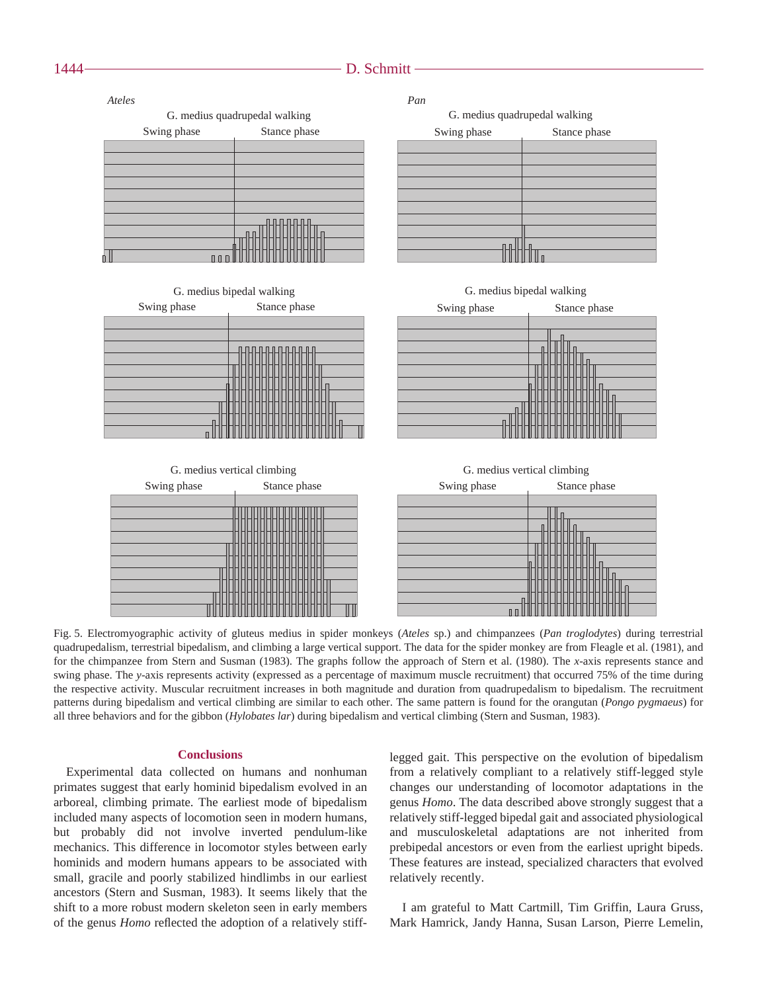#### 1444 — **D. Schmitt**



Fig. 5. Electromyographic activity of gluteus medius in spider monkeys (Ateles sp.) and chimpanzees (Pan troglodytes) during terrestrial quadrupedalism, terrestrial bipedalism, and climbing a large vertical support. The data for the spider monkey are from Fleagle et al. (1981), and for the chimpanzee from Stern and Susman (1983). The graphs follow the approach of Stern et al. (1980). The *x*-axis represents stance and swing phase. The *y*-axis represents activity (expressed as a percentage of maximum muscle recruitment) that occurred 75% of the time during the respective activity. Muscular recruitment increases in both magnitude and duration from quadrupedalism to bipedalism. The recruitment patterns during bipedalism and vertical climbing are similar to each other. The same pattern is found for the orangutan (*Pongo pygmaeus*) for all three behaviors and for the gibbon (*Hylobates lar*) during bipedalism and vertical climbing (Stern and Susman, 1983).

#### **Conclusions**

Experimental data collected on humans and nonhuman primates suggest that early hominid bipedalism evolved in an arboreal, climbing primate. The earliest mode of bipedalism included many aspects of locomotion seen in modern humans, but probably did not involve inverted pendulum-like mechanics. This difference in locomotor styles between early hominids and modern humans appears to be associated with small, gracile and poorly stabilized hindlimbs in our earliest ancestors (Stern and Susman, 1983). It seems likely that the shift to a more robust modern skeleton seen in early members of the genus *Homo* reflected the adoption of a relatively stiff-

legged gait. This perspective on the evolution of bipedalism from a relatively compliant to a relatively stiff-legged style changes our understanding of locomotor adaptations in the genus *Homo*. The data described above strongly suggest that a relatively stiff-legged bipedal gait and associated physiological and musculoskeletal adaptations are not inherited from prebipedal ancestors or even from the earliest upright bipeds. These features are instead, specialized characters that evolved relatively recently.

I am grateful to Matt Cartmill, Tim Griffin, Laura Gruss, Mark Hamrick, Jandy Hanna, Susan Larson, Pierre Lemelin,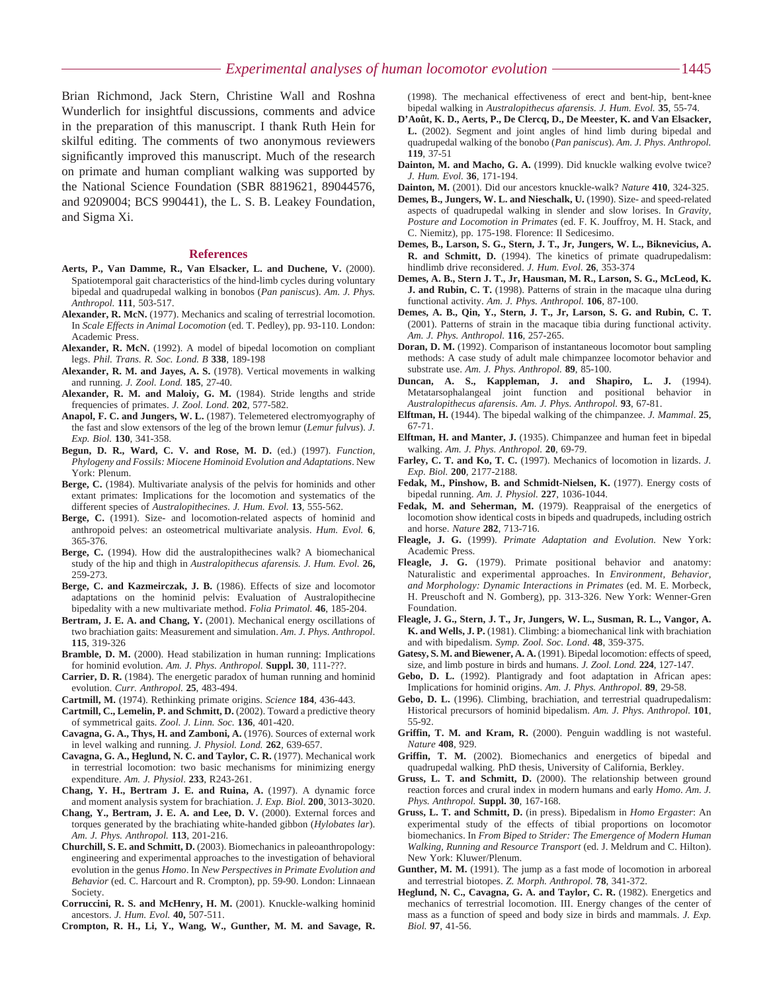Brian Richmond, Jack Stern, Christine Wall and Roshna Wunderlich for insightful discussions, comments and advice in the preparation of this manuscript. I thank Ruth Hein for skilful editing. The comments of two anonymous reviewers significantly improved this manuscript. Much of the research on primate and human compliant walking was supported by the National Science Foundation (SBR 8819621, 89044576, and 9209004; BCS 990441), the L. S. B. Leakey Foundation, and Sigma Xi.

#### **References**

- **Aerts, P., Van Damme, R., Van Elsacker, L. and Duchene, V.** (2000). Spatiotemporal gait characteristics of the hind-limb cycles during voluntary bipedal and quadrupedal walking in bonobos (*Pan paniscus*). *Am. J. Phys. Anthropol.* **111**, 503-517.
- **Alexander, R. McN.** (1977). Mechanics and scaling of terrestrial locomotion. In *Scale Effects in Animal Locomotion* (ed. T. Pedley), pp. 93-110. London: Academic Press.
- **Alexander, R. McN.** (1992). A model of bipedal locomotion on compliant legs. *Phil. Trans. R. Soc. Lond. B* **338**, 189-198
- **Alexander, R. M. and Jayes, A. S.** (1978). Vertical movements in walking and running. *J. Zool. Lond.* **185**, 27-40.
- **Alexander, R. M. and Maloiy, G. M.** (1984). Stride lengths and stride frequencies of primates. *J. Zool. Lond.* **202**, 577-582.
- **Anapol, F. C. and Jungers, W. L.** (1987). Telemetered electromyography of the fast and slow extensors of the leg of the brown lemur (*Lemur fulvus*). *J. Exp. Biol.* **130**, 341-358.
- **Begun, D. R., Ward, C. V. and Rose, M. D.** (ed.) (1997). *Function, Phylogeny and Fossils: Miocene Hominoid Evolution and Adaptations*. New York: Plenum.
- **Berge, C.** (1984). Multivariate analysis of the pelvis for hominids and other extant primates: Implications for the locomotion and systematics of the different species of *Australopithecines*. *J. Hum. Evol.* **13**, 555-562.
- **Berge, C.** (1991). Size- and locomotion-related aspects of hominid and anthropoid pelves: an osteometrical multivariate analysis. *Hum. Evol.* **6**, 365-376.
- **Berge, C.** (1994). How did the australopithecines walk? A biomechanical study of the hip and thigh in *Australopithecus afarensis. J. Hum. Evol.* **26,** 259-273.
- **Berge, C. and Kazmeirczak, J. B.** (1986). Effects of size and locomotor adaptations on the hominid pelvis: Evaluation of Australopithecine bipedality with a new multivariate method. *Folia Primatol.* **46**, 185-204.
- **Bertram, J. E. A. and Chang, Y.** (2001). Mechanical energy oscillations of two brachiation gaits: Measurement and simulation. *Am. J. Phys. Anthropol*. **115**, 319-326
- **Bramble, D. M.** (2000). Head stabilization in human running: Implications for hominid evolution. *Am. J. Phys. Anthropol.* **Suppl. 30**, 111-???.
- **Carrier, D. R.** (1984). The energetic paradox of human running and hominid evolution. *Curr. Anthropol.* **25**, 483-494.
- **Cartmill, M.** (1974). Rethinking primate origins. *Science* **184**, 436-443.
- **Cartmill, C., Lemelin, P. and Schmitt, D.** (2002). Toward a predictive theory of symmetrical gaits. *Zool. J. Linn. Soc.* **136**, 401-420.
- **Cavagna, G. A., Thys, H. and Zamboni, A.** (1976). Sources of external work in level walking and running. *J. Physiol. Lond.* **262**, 639-657.
- **Cavagna, G. A., Heglund, N. C. and Taylor, C. R.** (1977). Mechanical work in terrestrial locomotion: two basic mechanisms for minimizing energy expenditure. *Am. J. Physiol*. **233**, R243-261.
- **Chang, Y. H., Bertram J. E. and Ruina, A.** (1997). A dynamic force and moment analysis system for brachiation. *J. Exp. Biol.* **200**, 3013-3020.
- **Chang, Y., Bertram, J. E. A. and Lee, D. V.** (2000). External forces and torques generated by the brachiating white-handed gibbon (*Hylobates lar*). *Am. J. Phys. Anthropol.* **113**, 201-216.
- **Churchill, S. E. and Schmitt, D.** (2003). Biomechanics in paleoanthropology: engineering and experimental approaches to the investigation of behavioral evolution in the genus *Homo*. In *New Perspectives in Primate Evolution and Behavior* (ed. C. Harcourt and R. Crompton), pp. 59-90. London: Linnaean Society.
- **Corruccini, R. S. and McHenry, H. M.** (2001). Knuckle-walking hominid ancestors. *J. Hum. Evol.* **40,** 507-511.

**Crompton, R. H., Li, Y., Wang, W., Gunther, M. M. and Savage, R.**

(1998). The mechanical effectiveness of erect and bent-hip, bent-knee bipedal walking in *Australopithecus afarensis. J. Hum. Evol.* **35**, 55-74.

- **D'Août, K. D., Aerts, P., De Clercq, D., De Meester, K. and Van Elsacker, L.** (2002). Segment and joint angles of hind limb during bipedal and quadrupedal walking of the bonobo (*Pan paniscus*). *Am. J. Phys. Anthropol.* **119**, 37-51
- **Dainton, M. and Macho, G. A.** (1999). Did knuckle walking evolve twice? *J. Hum. Evol.* **36**, 171-194.
- **Dainton, M.** (2001). Did our ancestors knuckle-walk? *Nature* **410**, 324-325.
- **Demes, B., Jungers, W. L. and Nieschalk, U.** (1990). Size- and speed-related aspects of quadrupedal walking in slender and slow lorises. In *Gravity, Posture and Locomotion in Primates* (ed. F. K. Jouffroy, M. H. Stack, and C. Niemitz), pp. 175-198. Florence: Il Sedicesimo.
- **Demes, B., Larson, S. G., Stern, J. T., Jr, Jungers, W. L., Biknevicius, A. R. and Schmitt, D.** (1994). The kinetics of primate quadrupedalism: hindlimb drive reconsidered. *J. Hum. Evol*. **26**, 353-374
- **Demes, A. B., Stern J. T., Jr, Hausman, M. R., Larson, S. G., McLeod, K. J. and Rubin, C. T.** (1998). Patterns of strain in the macaque ulna during functional activity. *Am. J. Phys. Anthropol.* **106**, 87-100.
- **Demes, A. B., Qin, Y., Stern, J. T., Jr, Larson, S. G. and Rubin, C. T.** (2001). Patterns of strain in the macaque tibia during functional activity. *Am. J. Phys. Anthropol.* **116**, 257-265.
- **Doran, D. M.** (1992). Comparison of instantaneous locomotor bout sampling methods: A case study of adult male chimpanzee locomotor behavior and substrate use. *Am. J. Phys. Anthropol.* **89**, 85-100.
- **Duncan, A. S., Kappleman, J. and Shapiro, L. J.** (1994). Metatarsophalangeal joint function and positional behavior in *Australopithecus afarensis*. *Am. J. Phys. Anthropol.* **93**, 67-81.
- **Elftman, H.** (1944). The bipedal walking of the chimpanzee. *J. Mammal*. **25**, 67-71.
- **Elftman, H. and Manter, J.** (1935). Chimpanzee and human feet in bipedal walking. *Am. J. Phys. Anthropol.* **20**, 69-79.
- **Farley, C. T. and Ko, T. C.** (1997). Mechanics of locomotion in lizards. *J. Exp. Biol.* **200**, 2177-2188.
- **Fedak, M., Pinshow, B. and Schmidt-Nielsen, K.** (1977). Energy costs of bipedal running. *Am. J. Physiol.* **227**, 1036-1044.
- **Fedak, M. and Seherman, M.** (1979). Reappraisal of the energetics of locomotion show identical costs in bipeds and quadrupeds, including ostrich and horse. *Nature* **282**, 713-716.
- **Fleagle, J. G.** (1999). *Primate Adaptation and Evolution.* New York: Academic Press.
- **Fleagle, J. G.** (1979). Primate positional behavior and anatomy: Naturalistic and experimental approaches. In *Environment, Behavior, and Morphology: Dynamic Interactions in Primates* (ed. M. E. Morbeck, H. Preuschoft and N. Gomberg), pp. 313-326. New York: Wenner-Gren Foundation.
- **Fleagle, J. G., Stern, J. T., Jr, Jungers, W. L., Susman, R. L., Vangor, A. K. and Wells, J. P.** (1981). Climbing: a biomechanical link with brachiation and with bipedalism. *Symp. Zool. Soc. Lond*. **48**, 359-375.
- **Gatesy, S. M. and Biewener, A. A.** (1991). Bipedal locomotion: effects of speed, size, and limb posture in birds and humans. *J. Zool. Lond.* **224**, 127-147.
- **Gebo, D. L.** (1992). Plantigrady and foot adaptation in African apes: Implications for hominid origins. *Am. J. Phys. Anthropol*. **89**, 29-58.
- **Gebo, D. L.** (1996). Climbing, brachiation, and terrestrial quadrupedalism: Historical precursors of hominid bipedalism. *Am. J. Phys. Anthropol.* **101**, 55-92.
- **Griffin, T. M. and Kram, R.** (2000). Penguin waddling is not wasteful. *Nature* **408**, 929.
- **Griffin, T. M.** (2002). Biomechanics and energetics of bipedal and quadrupedal walking. PhD thesis, University of California, Berkley.
- **Gruss, L. T. and Schmitt, D.** (2000). The relationship between ground reaction forces and crural index in modern humans and early *Homo*. *Am. J. Phys. Anthropol.* **Suppl. 30**, 167-168.
- **Gruss, L. T. and Schmitt, D.** (in press). Bipedalism in *Homo Ergaster*: An experimental study of the effects of tibial proportions on locomotor biomechanics. In *From Biped to Strider: The Emergence of Modern Human Walking, Running and Resource Transport* (ed. J. Meldrum and C. Hilton). New York: Kluwer/Plenum.
- **Gunther, M. M.** (1991). The jump as a fast mode of locomotion in arboreal and terrestrial biotopes. *Z. Morph. Anthropol.* **78**, 341-372.
- **Heglund, N. C., Cavagna, G. A. and Taylor, C. R.** (1982). Energetics and mechanics of terrestrial locomotion. III. Energy changes of the center of mass as a function of speed and body size in birds and mammals. *J. Exp. Biol.* **97**, 41-56.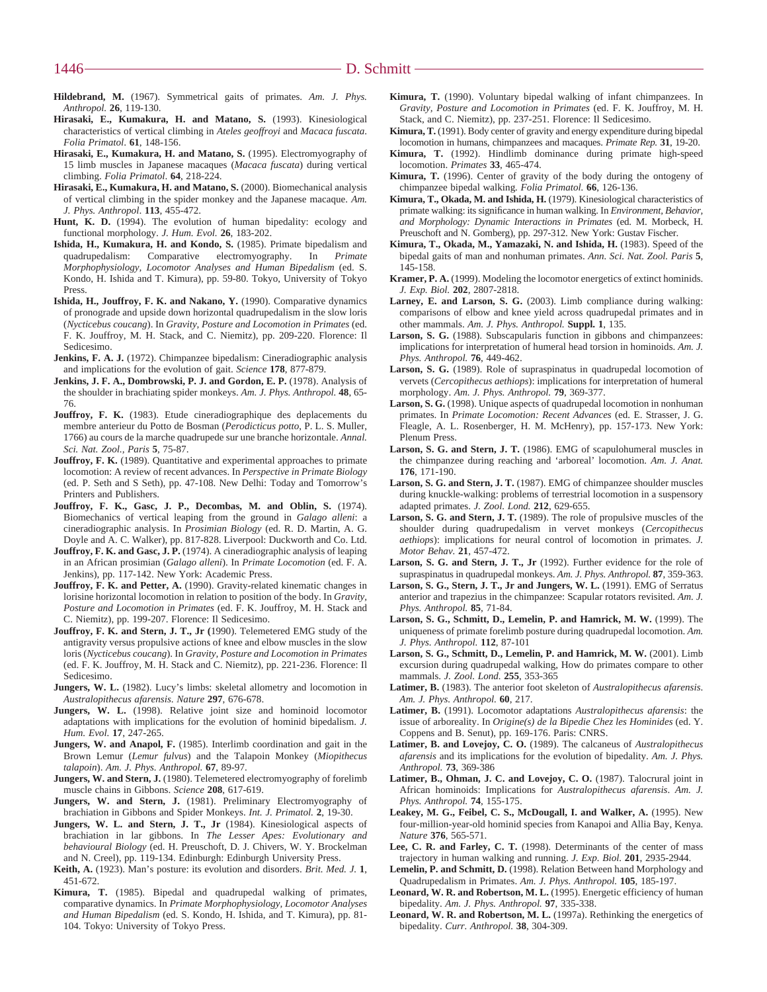- **Hildebrand, M.** (1967). Symmetrical gaits of primates. *Am. J. Phys. Anthropol.* **26**, 119-130.
- **Hirasaki, E., Kumakura, H. and Matano, S.** (1993). Kinesiological characteristics of vertical climbing in *Ateles geoffroyi* and *Macaca fuscata*. *Folia Primatol*. **61**, 148-156.
- **Hirasaki, E., Kumakura, H. and Matano, S.** (1995). Electromyography of 15 limb muscles in Japanese macaques (*Macaca fuscata*) during vertical climbing. *Folia Primatol*. **64**, 218-224.
- **Hirasaki, E., Kumakura, H. and Matano, S.** (2000). Biomechanical analysis of vertical climbing in the spider monkey and the Japanese macaque. *Am. J. Phys. Anthropol*. **113**, 455-472.
- Hunt, K. D. (1994). The evolution of human bipedality: ecology and functional morphology. *J. Hum. Evol.* **26**, 183-202.
- **Ishida, H., Kumakura, H. and Kondo, S.** (1985). Primate bipedalism and madrupedalism Comparative electromyography. In *Primate* quadrupedalism: Comparative electromyography. In *Primate Morphophysiology, Locomotor Analyses and Human Bipedalism* (ed. S. Kondo, H. Ishida and T. Kimura), pp. 59-80. Tokyo, University of Tokyo Press.
- **Ishida, H., Jouffroy, F. K. and Nakano, Y.** (1990). Comparative dynamics of pronograde and upside down horizontal quadrupedalism in the slow loris (*Nycticebus coucang*). In *Gravity, Posture and Locomotion in Primates* (ed. F. K. Jouffroy, M. H. Stack, and C. Niemitz), pp. 209-220. Florence: Il Sedicesimo.
- **Jenkins, F. A. J.** (1972). Chimpanzee bipedalism: Cineradiographic analysis and implications for the evolution of gait. *Science* **178**, 877-879.
- **Jenkins, J. F. A., Dombrowski, P. J. and Gordon, E. P.** (1978). Analysis of the shoulder in brachiating spider monkeys. *Am. J. Phys. Anthropol.* **48**, 65- 76.
- **Jouffroy, F. K.** (1983). Etude cineradiographique des deplacements du membre anterieur du Potto de Bosman (*Perodicticus potto*, P. L. S. Muller, 1766) au cours de la marche quadrupede sur une branche horizontale. *Annal. Sci. Nat. Zool., Paris* **5***,* 75-87.
- **Jouffroy, F. K.** (1989). Quantitative and experimental approaches to primate locomotion: A review of recent advances. In *Perspective in Primate Biology* (ed. P. Seth and S Seth), pp. 47-108. New Delhi: Today and Tomorrow's Printers and Publishers.
- **Jouffroy, F. K., Gasc, J. P., Decombas, M. and Oblin, S.** (1974). Biomechanics of vertical leaping from the ground in *Galago alleni*: a cineradiographic analysis. In *Prosimian Biology* (ed. R. D. Martin, A. G. Doyle and A. C. Walker), pp. 817-828. Liverpool: Duckworth and Co. Ltd.
- **Jouffroy, F. K. and Gasc, J. P.** (1974). A cineradiographic analysis of leaping in an African prosimian (*Galago alleni*). In *Primate Locomotion* (ed. F. A. Jenkins), pp. 117-142. New York: Academic Press.
- **Jouffroy, F. K. and Petter, A.** (1990). Gravity-related kinematic changes in lorisine horizontal locomotion in relation to position of the body. In *Gravity, Posture and Locomotion in Primates* (ed. F. K. Jouffroy, M. H. Stack and C. Niemitz), pp. 199-207. Florence: Il Sedicesimo.
- **Jouffroy, F. K. and Stern, J. T., Jr (**1990). Telemetered EMG study of the antigravity versus propulsive actions of knee and elbow muscles in the slow loris (*Nycticebus coucang*). In *Gravity, Posture and Locomotion in Primates* (ed. F. K. Jouffroy, M. H. Stack and C. Niemitz), pp. 221-236. Florence: Il Sedicesimo.
- Jungers, W. L. (1982). Lucy's limbs: skeletal allometry and locomotion in *Australopithecus afarensis*. *Nature* **297**, 676-678.
- Jungers, W. L. (1998). Relative joint size and hominoid locomotor adaptations with implications for the evolution of hominid bipedalism. *J. Hum. Evol.* **17**, 247-265.
- **Jungers, W. and Anapol, F.** (1985). Interlimb coordination and gait in the Brown Lemur (*Lemur fulvus*) and the Talapoin Monkey (*Miopithecus talapoin*). *Am. J. Phys. Anthropol.* **67**, 89-97.
- **Jungers, W. and Stern, J.** (1980). Telemetered electromyography of forelimb muscle chains in Gibbons. *Science* **208**, 617-619.
- **Jungers, W. and Stern, J.** (1981). Preliminary Electromyography of brachiation in Gibbons and Spider Monkeys. *Int. J. Primatol.* **2**, 19-30.
- **Jungers, W. L. and Stern, J. T., Jr** (1984). Kinesiological aspects of brachiation in lar gibbons. In *The Lesser Apes: Evolutionary and behavioural Biology* (ed. H. Preuschoft, D. J. Chivers, W. Y. Brockelman and N. Creel), pp. 119-134. Edinburgh: Edinburgh University Press.
- **Keith, A.** (1923). Man's posture: its evolution and disorders. *Brit. Med. J.* **1**, 451-672.
- **Kimura, T.** (1985). Bipedal and quadrupedal walking of primates, comparative dynamics. In *Primate Morphophysiology, Locomotor Analyses and Human Bipedalism* (ed. S. Kondo, H. Ishida, and T. Kimura), pp. 81- 104. Tokyo: University of Tokyo Press.
- **Kimura, T.** (1990). Voluntary bipedal walking of infant chimpanzees. In *Gravity, Posture and Locomotion in Primates* (ed. F. K. Jouffroy, M. H. Stack, and C. Niemitz), pp. 237-251. Florence: Il Sedicesimo.
- **Kimura, T.** (1991). Body center of gravity and energy expenditure during bipedal locomotion in humans, chimpanzees and macaques. *Primate Rep.* **31**, 19-20.
- **Kimura, T.** (1992). Hindlimb dominance during primate high-speed locomotion. *Primates* **33**, 465-474.
- **Kimura, T.** (1996). Center of gravity of the body during the ontogeny of chimpanzee bipedal walking*. Folia Primatol.* **66**, 126-136.
- **Kimura, T., Okada, M. and Ishida, H.** (1979). Kinesiological characteristics of primate walking: its significance in human walking. In *Environment, Behavior, and Morphology: Dynamic Interactions in Primates* (ed. M. Morbeck, H. Preuschoft and N. Gomberg), pp. 297-312. New York: Gustav Fischer.
- **Kimura, T., Okada, M., Yamazaki, N. and Ishida, H.** (1983). Speed of the bipedal gaits of man and nonhuman primates. *Ann. Sci. Nat. Zool. Paris* **5**, 145-158.
- **Kramer, P. A.** (1999). Modeling the locomotor energetics of extinct hominids. *J. Exp. Biol.* **202**, 2807-2818.
- **Larney, E. and Larson, S. G.** (2003). Limb compliance during walking: comparisons of elbow and knee yield across quadrupedal primates and in other mammals. *Am. J. Phys. Anthropol.* **Suppl. 1**, 135.
- Larson, S. G. (1988). Subscapularis function in gibbons and chimpanzees: implications for interpretation of humeral head torsion in hominoids. *Am. J. Phys. Anthropol.* **76**, 449-462.
- **Larson, S. G.** (1989). Role of supraspinatus in quadrupedal locomotion of vervets (*Cercopithecus aethiops*): implications for interpretation of humeral morphology. *Am. J. Phys. Anthropol.* **79**, 369-377.
- **Larson, S. G.** (1998). Unique aspects of quadrupedal locomotion in nonhuman primates. In *Primate Locomotion: Recent Advances* (ed. E. Strasser, J. G. Fleagle, A. L. Rosenberger, H. M. McHenry), pp. 157-173. New York: Plenum Press.
- **Larson, S. G. and Stern, J. T.** (1986). EMG of scapulohumeral muscles in the chimpanzee during reaching and 'arboreal' locomotion. *Am. J. Anat.* **176**, 171-190.
- **Larson, S. G. and Stern, J. T.** (1987). EMG of chimpanzee shoulder muscles during knuckle-walking: problems of terrestrial locomotion in a suspensory adapted primates. *J. Zool. Lond.* **212**, 629-655.
- **Larson, S. G. and Stern, J. T.** (1989). The role of propulsive muscles of the shoulder during quadrupedalism in vervet monkeys (*Cercopithecus aethiops*): implications for neural control of locomotion in primates. *J. Motor Behav.* **21**, 457-472.
- **Larson, S. G. and Stern, J. T., Jr** (1992). Further evidence for the role of supraspinatus in quadrupedal monkeys. *Am. J. Phys. Anthropol.* **87**, 359-363.
- **Larson, S. G., Stern, J. T., Jr and Jungers, W. L.** (1991). EMG of Serratus anterior and trapezius in the chimpanzee: Scapular rotators revisited. *Am. J. Phys. Anthropol.* **85**, 71-84.
- **Larson, S. G., Schmitt, D., Lemelin, P. and Hamrick, M. W.** (1999). The uniqueness of primate forelimb posture during quadrupedal locomotion. *Am. J. Phys. Anthropol.* **112**, 87-101
- **Larson, S. G., Schmitt, D., Lemelin, P. and Hamrick, M. W.** (2001). Limb excursion during quadrupedal walking, How do primates compare to other mammals. *J. Zool. Lond.* **255**, 353-365
- **Latimer, B.** (1983). The anterior foot skeleton of *Australopithecus afarensis*. *Am. J. Phys. Anthropol.* **60**, 217.
- **Latimer, B.** (1991). Locomotor adaptations *Australopithecus afarensis*: the issue of arboreality. In *Origine(s) de la Bipedie Chez les Hominides* (ed. Y. Coppens and B. Senut), pp. 169-176. Paris: CNRS.
- **Latimer, B. and Lovejoy, C. O.** (1989). The calcaneus of *Australopithecus afarensis* and its implications for the evolution of bipedality. *Am. J. Phys. Anthropol.* **73**, 369-386
- **Latimer, B., Ohman, J. C. and Lovejoy, C. O.** (1987). Talocrural joint in African hominoids: Implications for *Australopithecus afarensis*. *Am. J. Phys. Anthropol.* **74**, 155-175.
- **Leakey, M. G., Feibel, C. S., McDougall, I. and Walker, A.** (1995). New four-million-year-old hominid species from Kanapoi and Allia Bay, Kenya. *Nature* **376**, 565-571.
- Lee, C. R. and Farley, C. T. (1998). Determinants of the center of mass trajectory in human walking and running. *J. Exp. Biol.* **201**, 2935-2944.
- **Lemelin, P. and Schmitt, D.** (1998). Relation Between hand Morphology and Quadrupedalism in Primates. *Am. J. Phys. Anthropol.* **105**, 185-197.
- Leonard, W. R. and Robertson, M. L. (1995). Energetic efficiency of human bipedality. *Am. J. Phys. Anthropol.* **97**, 335-338.
- Leonard, W. R. and Robertson, M. L. (1997a). Rethinking the energetics of bipedality. *Curr. Anthropol.* **38**, 304-309.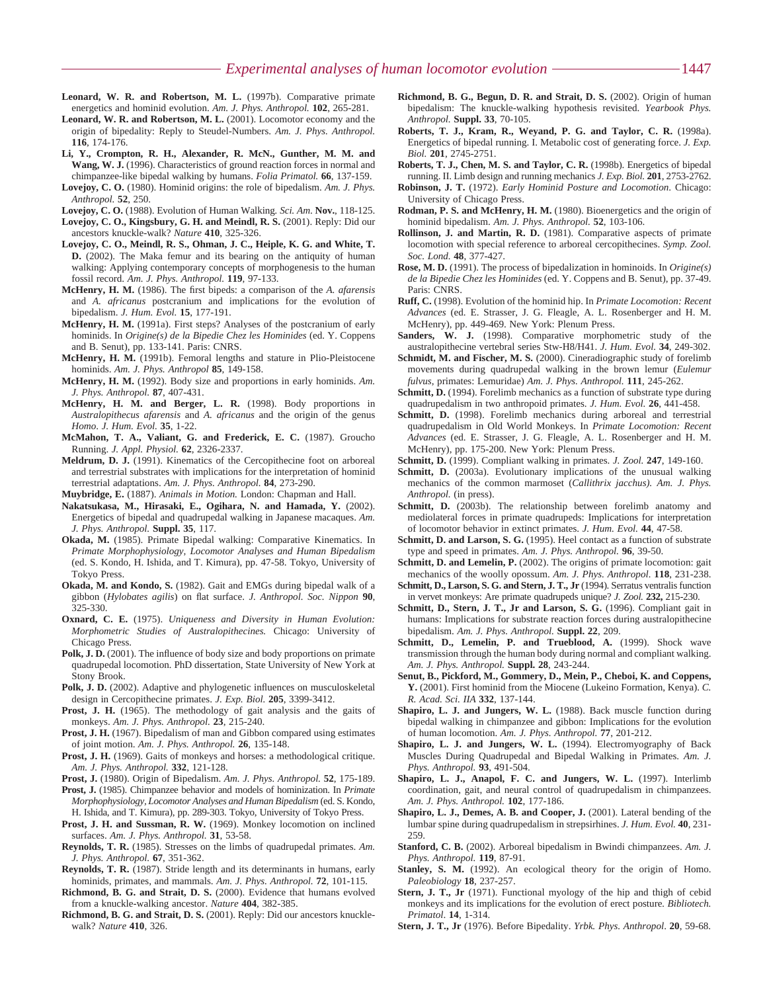- **Leonard, W. R. and Robertson, M. L.** (1997b). Comparative primate energetics and hominid evolution. *Am. J. Phys. Anthropol.* **102**, 265-281.
- **Leonard, W. R. and Robertson, M. L.** (2001). Locomotor economy and the origin of bipedality: Reply to Steudel-Numbers. *Am. J. Phys. Anthropol.* **116**, 174-176.
- **Li, Y., Crompton, R. H., Alexander, R. McN., Gunther, M. M. and Wang, W. J.** (1996). Characteristics of ground reaction forces in normal and chimpanzee-like bipedal walking by humans. *Folia Primatol.* **66**, 137-159.
- **Lovejoy, C. O.** (1980). Hominid origins: the role of bipedalism. *Am. J. Phys. Anthropol.* **52**, 250.
- **Lovejoy, C. O.** (1988). Evolution of Human Walking*. Sci. Am*. **Nov.**, 118-125.
- **Lovejoy, C. O., Kingsbury, G. H. and Meindl, R. S.** (2001). Reply: Did our ancestors knuckle-walk? *Nature* **410**, 325-326.
- **Lovejoy, C. O., Meindl, R. S., Ohman, J. C., Heiple, K. G. and White, T. D.** (2002). The Maka femur and its bearing on the antiquity of human walking: Applying contemporary concepts of morphogenesis to the human fossil record. *Am. J. Phys. Anthropol.* **119**, 97-133.
- **McHenry, H. M.** (1986). The first bipeds: a comparison of the *A. afarensis* and *A. africanus* postcranium and implications for the evolution of bipedalism. *J. Hum. Evol.* **15**, 177-191.
- **McHenry, H. M.** (1991a). First steps? Analyses of the postcranium of early hominids. In *Origine(s) de la Bipedie Chez les Hominides* (ed. Y. Coppens and B. Senut), pp. 133-141. Paris: CNRS.
- **McHenry, H. M.** (1991b). Femoral lengths and stature in Plio-Pleistocene hominids. *Am. J. Phys. Anthropol* **85**, 149-158.
- **McHenry, H. M.** (1992). Body size and proportions in early hominids. *Am. J. Phys. Anthropol.* **87**, 407-431.
- **McHenry, H. M. and Berger, L. R.** (1998). Body proportions in *Australopithecus afarensis* and *A. africanus* and the origin of the genus *Homo*. *J. Hum. Evol.* **35**, 1-22.
- **McMahon, T. A., Valiant, G. and Frederick, E. C.** (1987). Groucho Running. *J. Appl. Physiol.* **62**, 2326-2337.
- **Meldrum, D. J.** (1991). Kinematics of the Cercopithecine foot on arboreal and terrestrial substrates with implications for the interpretation of hominid terrestrial adaptations. *Am. J. Phys. Anthropol.* **84**, 273-290.
- **Muybridge, E.** (1887). *Animals in Motion.* London: Chapman and Hall.
- **Nakatsukasa, M., Hirasaki, E., Ogihara, N. and Hamada, Y.** (2002). Energetics of bipedal and quadrupedal walking in Japanese macaques. *Am. J. Phys. Anthropol.* **Suppl. 35**, 117.
- **Okada, M.** (1985). Primate Bipedal walking: Comparative Kinematics. In *Primate Morphophysiology, Locomotor Analyses and Human Bipedalism* (ed. S. Kondo, H. Ishida, and T. Kimura), pp. 47-58. Tokyo, University of Tokyo Press.
- **Okada, M. and Kondo, S.** (1982). Gait and EMGs during bipedal walk of a gibbon (*Hylobates agilis*) on flat surface. *J. Anthropol. Soc. Nippon* **90**, 325-330.
- **Oxnard, C. E.** (1975). *Uniqueness and Diversity in Human Evolution: Morphometric Studies of Australopithecines.* Chicago: University of Chicago Press.
- **Polk, J. D.** (2001). The influence of body size and body proportions on primate quadrupedal locomotion*.* PhD dissertation, State University of New York at Stony Brook.
- Polk, J. D. (2002). Adaptive and phylogenetic influences on musculoskeletal design in Cercopithecine primates. *J. Exp. Biol.* **205**, 3399-3412.
- **Prost, J. H.** (1965). The methodology of gait analysis and the gaits of monkeys. *Am. J. Phys. Anthropol.* **23**, 215-240.
- Prost, J. H. (1967). Bipedalism of man and Gibbon compared using estimates of joint motion. *Am. J. Phys. Anthropol.* **26**, 135-148.
- Prost, J. H. (1969). Gaits of monkeys and horses: a methodological critique. *Am. J. Phys. Anthropol.* **332**, 121-128.
- **Prost, J.** (1980). Origin of Bipedalism. *Am. J. Phys. Anthropol.* **52**, 175-189. **Prost, J.** (1985). Chimpanzee behavior and models of hominization. In *Primate*
- *Morphophysiology, Locomotor Analyses and Human Bipedalism* (ed. S. Kondo, H. Ishida, and T. Kimura), pp. 289-303. Tokyo, University of Tokyo Press.
- **Prost, J. H. and Sussman, R. W.** (1969). Monkey locomotion on inclined surfaces. *Am. J. Phys. Anthropol.* **31**, 53-58.
- **Reynolds, T. R.** (1985). Stresses on the limbs of quadrupedal primates. *Am. J. Phys. Anthropol.* **67**, 351-362.
- **Reynolds, T. R.** (1987). Stride length and its determinants in humans, early hominids, primates, and mammals. *Am. J. Phys. Anthropol.* **72**, 101-115.
- **Richmond, B. G. and Strait, D. S.** (2000). Evidence that humans evolved from a knuckle-walking ancestor. *Nature* **404**, 382-385.
- **Richmond, B. G. and Strait, D. S.** (2001). Reply: Did our ancestors knucklewalk? *Nature* **410**, 326.
- **Richmond, B. G., Begun, D. R. and Strait, D. S.** (2002). Origin of human bipedalism: The knuckle-walking hypothesis revisited. *Yearbook Phys. Anthropol.* **Suppl. 33**, 70-105.
- **Roberts, T. J., Kram, R., Weyand, P. G. and Taylor, C. R.** (1998a). Energetics of bipedal running. I. Metabolic cost of generating force. *J. Exp. Biol.* **201**, 2745-2751.
- **Roberts, T. J., Chen, M. S. and Taylor, C. R.** (1998b). Energetics of bipedal running. II. Limb design and running mechanics *J. Exp. Biol.* **201**, 2753-2762.
- **Robinson, J. T.** (1972). *Early Hominid Posture and Locomotion*. Chicago: University of Chicago Press.
- **Rodman, P. S. and McHenry, H. M.** (1980). Bioenergetics and the origin of hominid bipedalism. *Am. J. Phys. Anthropol.* **52**, 103-106.
- **Rollinson, J. and Martin, R. D.** (1981). Comparative aspects of primate locomotion with special reference to arboreal cercopithecines. *Symp. Zool. Soc. Lond.* **48**, 377-427.
- **Rose, M. D.** (1991). The process of bipedalization in hominoids. In *Origine(s) de la Bipedie Chez les Hominides* (ed. Y. Coppens and B. Senut), pp. 37-49. Paris: CNRS.
- **Ruff, C.** (1998). Evolution of the hominid hip. In *Primate Locomotion: Recent Advances* (ed. E. Strasser, J. G. Fleagle, A. L. Rosenberger and H. M. McHenry), pp. 449-469. New York: Plenum Press.
- Sanders, W. J. (1998). Comparative morphometric study of the australopithecine vertebral series Stw-H8/H41. *J. Hum. Evol.* **34**, 249-302.
- Schmidt, M. and Fischer, M. S. (2000). Cineradiographic study of forelimb movements during quadrupedal walking in the brown lemur (*Eulemur fulvus*, primates: Lemuridae) *Am. J. Phys. Anthropol.* **111**, 245-262.
- Schmitt, D. (1994). Forelimb mechanics as a function of substrate type during quadrupedalism in two anthropoid primates. *J. Hum. Evol.* **26**, 441-458.
- Schmitt, D. (1998). Forelimb mechanics during arboreal and terrestrial quadrupedalism in Old World Monkeys. In *Primate Locomotion: Recent Advances* (ed. E. Strasser, J. G. Fleagle, A. L. Rosenberger and H. M. McHenry), pp. 175-200. New York: Plenum Press.
- **Schmitt, D.** (1999). Compliant walking in primates. *J. Zool.* **247**, 149-160.
- **Schmitt, D.** (2003a). Evolutionary implications of the unusual walking mechanics of the common marmoset (*Callithrix jacchus). Am. J. Phys. Anthropol.* (in press).
- **Schmitt, D.** (2003b). The relationship between forelimb anatomy and mediolateral forces in primate quadrupeds: Implications for interpretation of locomotor behavior in extinct primates. *J. Hum. Evol.* **44**, 47-58.
- **Schmitt, D. and Larson, S. G.** (1995). Heel contact as a function of substrate type and speed in primates. *Am. J. Phys. Anthropol.* **96**, 39-50.
- Schmitt, D. and Lemelin, P. (2002). The origins of primate locomotion: gait mechanics of the woolly opossum. *Am. J. Phys. Anthropol.* **118**, 231-238.
- **Schmitt, D., Larson, S. G. and Stern, J. T., Jr** (1994). Serratus ventralis function in vervet monkeys: Are primate quadrupeds unique? *J. Zool.* **232,** 215-230.
- **Schmitt, D., Stern, J. T., Jr and Larson, S. G.** (1996). Compliant gait in humans: Implications for substrate reaction forces during australopithecine bipedalism. *Am. J. Phys. Anthropol.* **Suppl. 22**, 209.
- Schmitt, D., Lemelin, P. and Trueblood, A. (1999). Shock wave transmission through the human body during normal and compliant walking. *Am. J. Phys. Anthropol.* **Suppl. 28**, 243-244.
- **Senut, B., Pickford, M., Gommery, D., Mein, P., Cheboi, K. and Coppens, Y.** (2001). First hominid from the Miocene (Lukeino Formation, Kenya). *C. R. Acad. Sci. IIA* **332**, 137-144.
- **Shapiro, L. J. and Jungers, W. L.** (1988). Back muscle function during bipedal walking in chimpanzee and gibbon: Implications for the evolution of human locomotion. *Am. J. Phys. Anthropol.* **77**, 201-212.
- **Shapiro, L. J. and Jungers, W. L.** (1994). Electromyography of Back Muscles During Quadrupedal and Bipedal Walking in Primates. *Am. J. Phys. Anthropol.* **93**, 491-504.
- **Shapiro, L. J., Anapol, F. C. and Jungers, W. L.** (1997). Interlimb coordination, gait, and neural control of quadrupedalism in chimpanzees. *Am. J. Phys. Anthropol.* **102**, 177-186.
- **Shapiro, L. J., Demes, A. B. and Cooper, J.** (2001). Lateral bending of the lumbar spine during quadrupedalism in strepsirhines. *J. Hum. Evol.* **40**, 231- 259.
- **Stanford, C. B.** (2002). Arboreal bipedalism in Bwindi chimpanzees. *Am. J. Phys. Anthropol.* **119**, 87-91.
- Stanley, S. M. (1992). An ecological theory for the origin of Homo. *Paleobiology* **18**, 237-257.
- **Stern, J. T., Jr** (1971). Functional myology of the hip and thigh of cebid monkeys and its implications for the evolution of erect posture*. Bibliotech. Primatol*. **14**, 1-314.
- **Stern, J. T., Jr** (1976). Before Bipedality. *Yrbk. Phys. Anthropol*. **20**, 59-68.